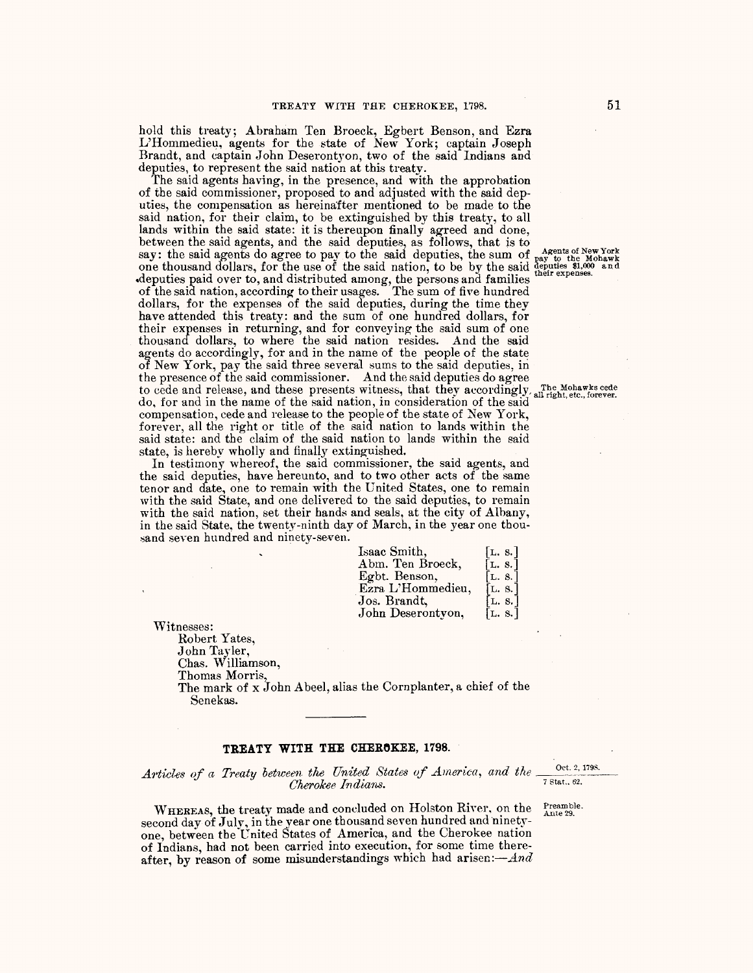hold this treaty; Abraham Ten Broeck, Egbert Benson, and Ezra L'Hommedieu, agents for the state of New York; captain Joseph Brandt, and captain John Deserontyon, two of the said Indians and deputies, to represent the said nation at this treaty.

The said agents having, in the presence, and with the approbation of the said commissioner, proposed to and adjusted with the said deputies, the compensation as hereinafter mentioned to be made to the said nation, for their claim, to be extinguished by this treaty, to all lands within the said state: it is thereupon finally agreed and done, between the said agents, and the said deputies, as follows, that js to say: the said agents do agree to pay to the said deputies, the sum of Agents of New York • Algents of New York one thousand dollars, for the use of the said nation, to be by the said deputes  $\frac{1}{2}$ ,000 and deputies paid over to, and distributed among, the persons and families their expenses. of the said nation, according to their usages. The sum of five hundred dollars, for the expenses of the said deputies, during the time they have attended this treaty: and the sum of one hundred dollars, for their expenses in returning, and for conveying the said sum of one thousand dollars, to where the said nation resides. And the said agents do accordingly, for and in the name of the people of the state of New York, pay the said three several sums to the said deputies, in the presence of the said commissioner. And the said deputies do agree to cede and release, and these presents witness, that they accordingly, all right, etc., forever.<br>do, for and in the name of the said nation, in consideration of the said compensation, cede and release to the people of the state of New York, forever, all the right or title of the said nation to lands within the said state: and the claim of the said nation to lands within the said state, is hereby wholly and finally extinguished.

In testimony whereof, the said commissioner, the said agents, and the said deputies, have hereunto, and to two other acts of the same tenor and date, one to remain with the United States, one to remain with the said State, and one delivered to the said deputies, to remain with the said nation, set their hands and seals, at the city of Albany, in the said State, the twenty-ninth day of March, in the year one thousand seven hundred and ninety-seven.

| Isaac Smith,      | [L. s.]         |
|-------------------|-----------------|
| Abm. Ten Broeck,  | [L. s.]         |
| Egbt. Benson,     | L. s.           |
| Ezra L'Hommedieu, | $\lfloor$ L. 8. |
| Jos. Brandt,      | L. s.           |
| John Deserontyon, | [L. $s.$ ]      |

Witnesses:

Robert Yates, John Tayler, Chas. Williamson, Thomas Morris, The mark of x John Abeel, alias the Cornplanter, a chief of the Senekas.

## TREATY WITH THE CHEROKEE, 1798.

*Articles of a Treaty between the United States of America, and the*  $\frac{0$  oct. 2, 1798.

WHEREAS, the treatv made and concluded on Holston River, on the second day of July, in the year one thousand seven hundred and ninetyone, between the United States of America, and the Cherokee nation of Indians, had not been carried into execution, for some time thereafter, by reason of some misunderstandings which had arisen: $- And$ 

Preamble. Ante 29.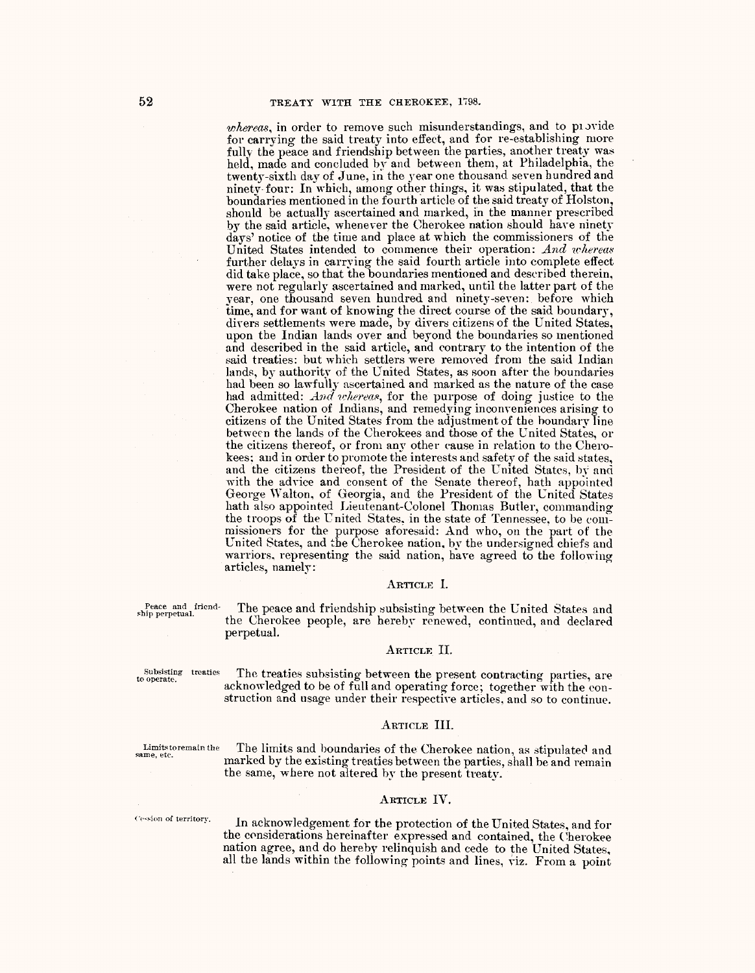whereas, in order to remove such misunderstandings, and to p1 ovide for carrying the said treaty into effect, and for re-establishing more fully the peace and friendship between the parties, another treaty was held, made and concluded by and between them, at Philadelphia, the twenty-sixth day of June, in the year one thousand seven hundred and ninety-four: In which, among other things, it was stipulated, that the boundaries mentioned in the fourth article of the said treatv of Holston, should be actually ascertained and marked, in the manner prescribed by the said article, whenever the Cherokee nation should have ninety days' notice of the time and place at which the commissioners of the United States intended to commence their operation: *And wherea8*  further delays in carrying the said fourth article into complete effect did take place, so that the boundaries mentioned and described therein, were not regularly ascertained and marked, until the latter part of the year, one thousand seven hundred and ninety-seven: before which time, and for want of knowing the direct course of the said boundary, divers settlements were made, by divers citizens of the United States, upon the Indian lands over and beyond the boundaries so mentioned and described in the said article, and contrary to the intention of the said treaties: but which settlers were removed from the said Indian lands, by authority of the United States, as soon after the boundaries had been so lawfully ascertained and marked as the nature of the case had admitted: *And whereas*, for the purpose of doing justice to the Cherokee nation of Indians, and remedying inconveniences arising to citizens of the United States from the adjustment of the houndary line betwern the lands of the Cherokees and those of the United States, or the citizens thereof, or from any other cause in relation to the Cherokees: and in order to promote the interests and safety of the said states, and the citizens thereof, the President of the United States, by and with the advice and consent of the Senate thereof, hath appointed George Walton, of Georgia, and the President of the United States hath also appointed Lieutenant-Colonel Thomas Butler, commanding the troops of the United States, in the state of Tennessee, to be conmissioners for the purpose aforesaid: And who, on the part of the United States, and the Cherokee nation, by the undersigned chiefs and warriors, representing the said nation, have agreed to the following articles, namely:

## ARTICLE I.

Peace and friendship perpetual.

The peace and friendship subsisting between the United States and the Cherokee people, are herebr renewed, continued, and declared perpetual.

#### ARTICLE II.

Subsisting treaties to operate.

The treaties subsisting between the present contracting parties, are acknowledged to be of full and operating force; together with the construction and usage under their respective articles, and so to continue.

## ARTICLE III.

Limits to remain the same, etc.

The limits and boundaries of the Cherokee nation, as stipulated and marked by the existing treaties between the parties, shall be and remain the same, where not altered by the present treaty.

## ARTICLE IV.

('p.::-ion of territory.

In acknowledgement for the protection of the United States, and for the considerations hereinafter expressed and contained, the Cherokee nation agree, and do hereby relinquish and cede to the United States, all the lands within the following points and lines, viz. From a point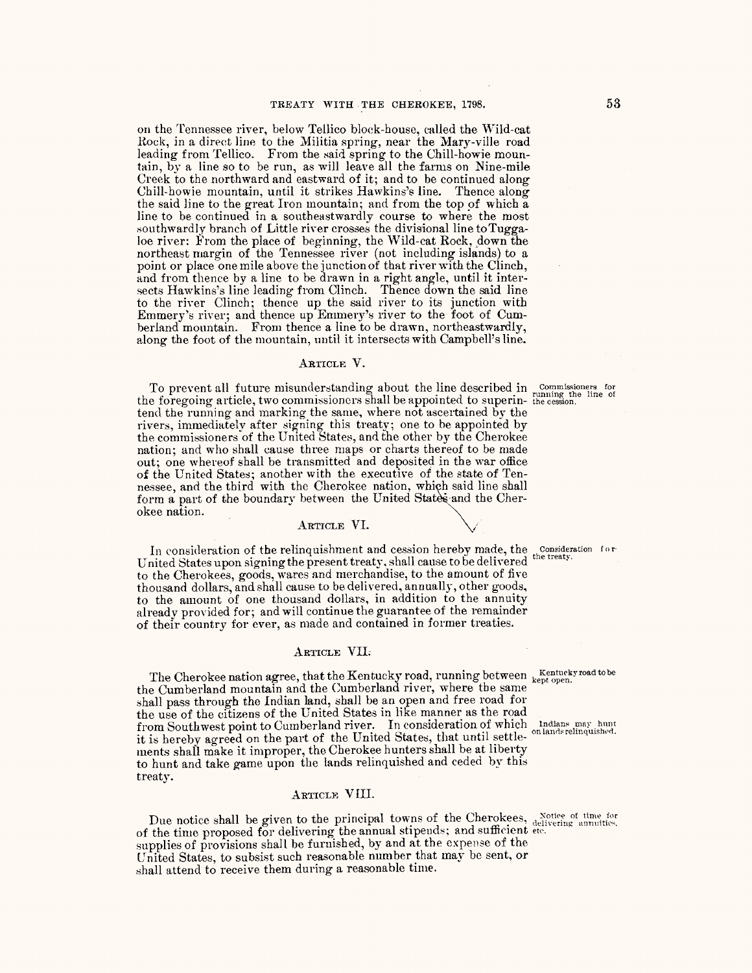on the Tennessee river, below Tellico block-house, called the Wild-cat Rock, in a direct line to the Militia spring, near the Mary-ville road leading from Tellico. From the said spring to the Chill-bowie mountain, by a line so to be run, as will leave all the farms on Nine-mile Creek to the northward and eastward of it; and to be continued along Chill-howie mountain, until it strikes Hawkins's line. Thence along the said line to the great Iron mountain; and from the top of which a line to be continued in a southeastwardly course to where the most southwardly branch of Little river crosses the divisional line to Tuggaloe river: From the place of beginning, the Wild-cat Rock, down the northeast margin of the Tennessee river (not including islands) to a point or place one mile above the junction of that river with the Clinch, and from thence by a line to be drawn in a right angle, until it intersects Hawkins's line leading from Clinch. Thence down the said line to the river Clinch; thence up the said river to its junction with Emmery's river; and thence up Emmery's river to the foot of Cumberland mountain. From thence a line to be drawn, northeastwardly, along the foot of the mountain, until it intersects with Campbell's line.

## ARTICLE V.

To prevent all future misunderstanding about the line described in Commissioners for the foregoing article, two commissioners shall be appointed to superin-the cession. tend the running and marking the same, where not ascertained by the rivers, immediately after signing this treaty; one to be appointed by the commissioners of the United States, and the other by the Cherokee nation; and who shall cause three maps or charts thereof to be made out; one whereof shall be transmitted and deposited in the war office of the United States; another with the executive of the state of Tennessee, and the third with the Cherokee nation, which said line shall form a part of the boundary between the United States and the Cherokee nation.

# ARTICLE VI.

In consideration of the relinquishment and cession hereby made, the consideration for United States upon signing the present treaty, shall cause to be delivered the treaty. to the Cherokees, goods, wares and merchandise, to the amount of five thousand dollars, and shall cause to be delivered, annually, other goods, to the amount of one thousand dollars, in addition to the annuity alreadv provided for; and will continue the guarantee of the remainder of their country for ever, as made and contained in former treaties.

#### ARTICLE VIL

The Cherokee nation agree, that the Kentucky road, running between Kentuckyroad tobe  $\alpha$ . Cumbarland mountain and the Cumbarland river, where the cares of kept open. the Cumberland mountain and the Cumberland river, where the same shall pass through the Indian land, shall be an open and free road for the use of the citizens of the United States in like manner as the road from Southwest point to Cumberland river. In consideration of which Indians was hunt it is hereby agreed on the part of the United States, that until settlements shall make it improper, the Cherokee hunters shall be at liberty to hunt and take game upon the lands relinquished and ceded by this treaty.

#### ARTICLE VIII.

Due notice shall be given to the principal towns of the Cherokees,  $\frac{X^{\text{Oذ}}}{\text{E}}$  annual stipends; and sufficient etc. supplies of provisions shall be furnished, by and at the expense of the United States, to subsist such reasonable number that may be sent, or shall attend to receive them during a reasonable time.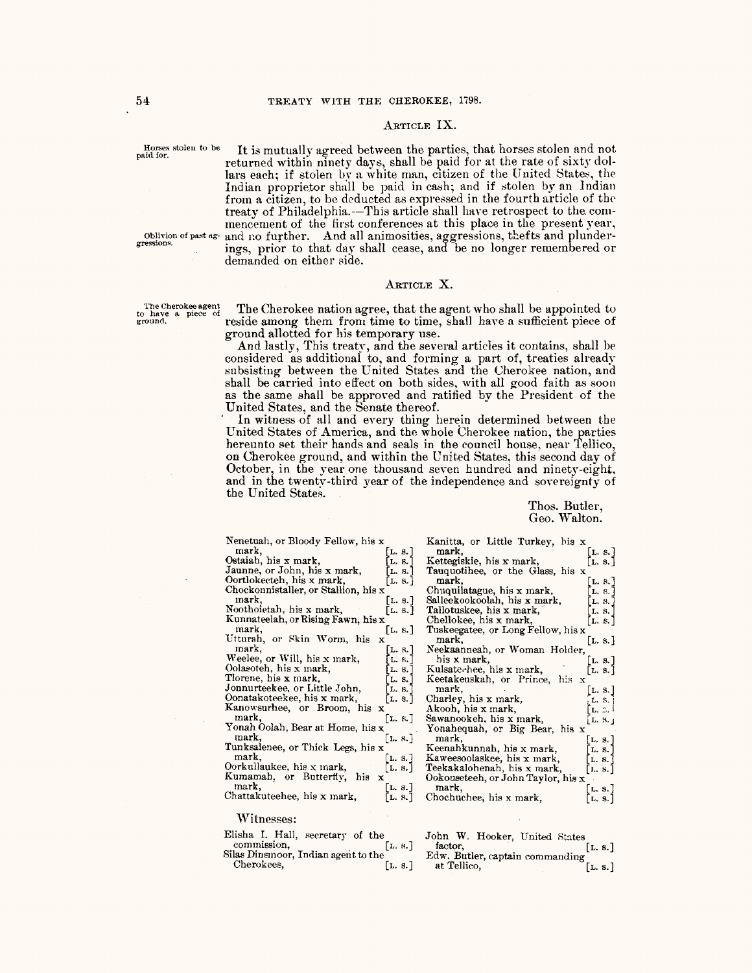#### ARTICLE IX.

Horses stolen to be It is mutually agreed between the parties, that horses stolen and not returned within ninety days, shall be paid for at the rate of sixty dollars each; if stolen by a white man, citizen of the United States, the Indian proprietor shall be paid in cash; and if stolen by an Indian from a citizen, to be deducted as expressed in the fourth article of the treaty of Philadelphia.--This article shall have retrospect to the. commencement of the first conferences at this place in the present year, Oblivion of past ag- and no further. And all animosities, aggressions, thefts and plunderings, prior to that day shall cease, and be no longer remembered or demanded on either side.

### ARTICLE X.

The Cherokee agent The Cherokee nation agree, that the agent who shall be appointed to ground. The Cherokee nation agree, that the agent who shall be appointed to ground. reside among them from time to time, shall have a sufficient piece of ground allotted for his temporary use.

> And lastly, This treaty, and the several articles it contains, shall be considered as additional to, and forming a part of, treaties already subsisting between the United States and the Cherokee nation, and shall be carried into effect on both sides, with all good faith as soon as the same shall be approved and ratified by the President of the United States, and the Senate thereof.

> In witness of all and every thing herein determined between the United States of America, and the whole Cherokee nation, the parties hereunto set their hands and seals in the council house, near Tellico, on Cherokee ground, and within the United States, this second day of October, in the year one thousand seven hundred and ninety-eight, and in the twenty-third year of the independence and sovereignty of the United States.

### Thos. Butler, Geo. Walton.

| Nenetuah, or Bloody Fellow, his x     | Kanitta, or Little Turkey, his x    |
|---------------------------------------|-------------------------------------|
| mark.                                 | mark.                               |
| L. 8.                                 | [L. 8.]                             |
| Ostaiah, his x mark,                  | Kettegiskie, his x mark,            |
| L. S.                                 | L. S.                               |
| Jaunne, or John, his x mark,<br>L. 8. | Tauquotihee, or the Glass, his x    |
| Oortlokecteh, his x mark,             | mark.                               |
| L. S.                                 | [L.8.]                              |
| Chockonnistaller, or Stallion, his x  | Chuquilatague, his x mark,<br>L. S. |
| mark.                                 | Salleekookoolah, his x mark,        |
| L. S.                                 | L. S.                               |
| Noothoietah, his x mark,              | Tallotuskee, his x mark,            |
| [L. $s.$ ]                            | L. S.                               |
| Kunnateelah, or Rising Fawn, his x    | Chellokee, his x mark,<br>L. S.     |
| mark,<br>[L. s.]                      | Tuskeegatee, or Long Fellow, his x  |
| Utturah, or Skin Worm, his            | mark,                               |
| x                                     | [L. S.                              |
| mark,<br>L. S.                        | Neekaanneah, or Woman Holder,       |
| Weelee, or Will, his x mark,          | his x mark.                         |
| L. S.                                 | [L. 8.]                             |
| Oolasoteh, his x mark,                | Kulsate-hee, his x mark,            |
| L. S.                                 | $\lceil$ L. 8.]                     |
| Tlorene, his x mark.<br>L. S.         | Keetakeuskah, or Prince, his x      |
| Jonnurteekee, or Little John,         | mark,                               |
| L. S.                                 | [L. S.]                             |
| Oonatakoteekee, his x mark,           | Charley, his x mark,                |
| [L. 8.]                               | L. S.                               |
| Kanowsurhee, or Broom, his            | Akooh, his x mark,                  |
| x                                     | $\mathbf{L} \cdot \mathbb{Z}^{-1}$  |
| mark,                                 | Sawanookeh, his x mark,             |
| [L. S.]                               | L. S.                               |
| Yonah Oolah, Bear at Home, his x      | Yonahequah, or Big Bear, his x      |
| mark.                                 | mark.                               |
| [L, 8.]                               | [L. 8.]                             |
| Tunksalenee, or Thick Legs, his x     | Keenahkunnah, his x mark,<br>L. S.  |
| mark.<br>[L. S.                       | Kaweesoolaskee, his x mark,         |
| Oorkullaukee, his x mark,             | L. S.                               |
| [L.8.]                                | Teekakalohenah, his x mark.         |
| Kumamah, or Butterfly,<br>his         | L.S.                                |
| x<br>mark,                            | Ookouseteeh, or John Taylor, his x  |
| [L. $s.$ ]                            | mark,<br>[L.S.]                     |
| Chattakuteehee, his x mark,           | Chochuchee, his x mark,             |
| L. s.1                                | [L. 8.]                             |
|                                       |                                     |

## Witnesses:

| Elisha I. Hall, secretary of the    | John W. Hooker, United States   |
|-------------------------------------|---------------------------------|
| commission.                         | factor.                         |
| [L, 8, 1]                           | [L. 8.]                         |
| Silas Dinsmoor, Indian agent to the | Edw. Butler, captain commanding |
| Cherokees.                          | at Tellico.                     |
| L. S.                               | [L. s.]                         |